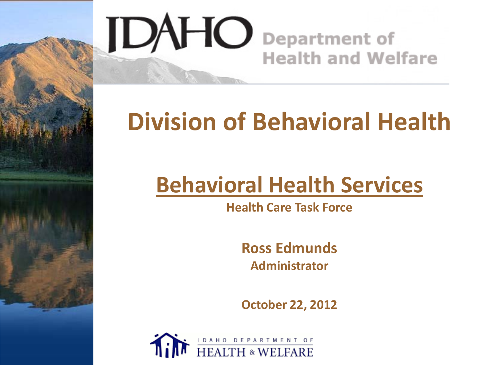

# **Division of Behavioral Health**

# **Behavioral Health Services**

**Health Care Task Force**

**Ross Edmunds Administrator**

**October 22, 2012**

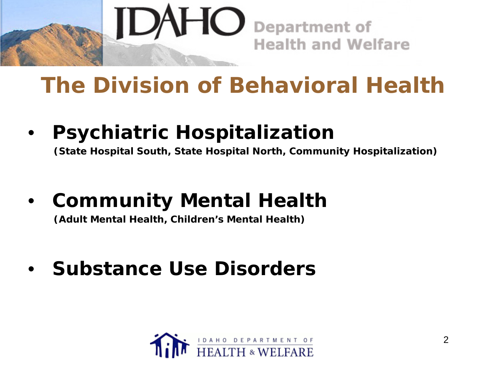

### **The Division of Behavioral Health**

• **Psychiatric Hospitalization (State Hospital South, State Hospital North, Community Hospitalization)**

• **Community Mental Health (Adult Mental Health, Children's Mental Health)**

• **Substance Use Disorders**

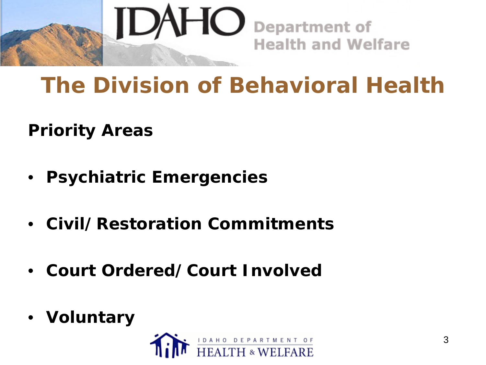

### **The Division of Behavioral Health**

**Priority Areas**

- **Psychiatric Emergencies**
- **Civil/Restoration Commitments**
- **Court Ordered/Court Involved**
- **Voluntary**

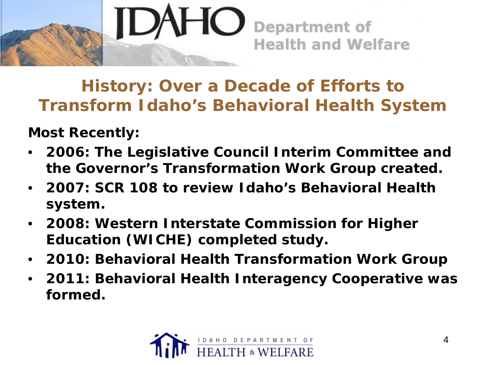

**History: Over a Decade of Efforts to Transform Idaho's Behavioral Health System**

**Most Recently:** 

- **2006: The Legislative Council Interim Committee and the Governor's Transformation Work Group created.**
- **2007: SCR 108 to review Idaho's Behavioral Health system.**
- **2008: Western Interstate Commission for Higher Education (WICHE) completed study.**
- **2010: Behavioral Health Transformation Work Group**
- **2011: Behavioral Health Interagency Cooperative was formed.**

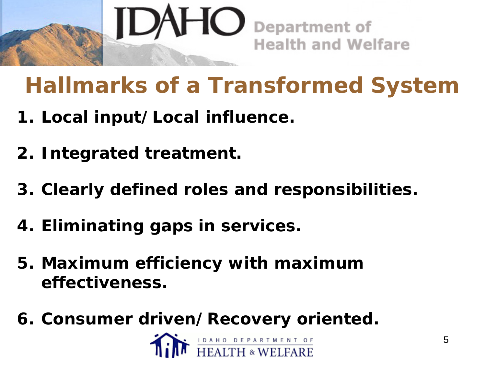

# **Hallmarks of a Transformed System**

- **1. Local input/Local influence.**
- **2. Integrated treatment.**
- **3. Clearly defined roles and responsibilities.**
- **4. Eliminating gaps in services.**
- **5. Maximum efficiency with maximum effectiveness.**
- **6. Consumer driven/Recovery oriented.**

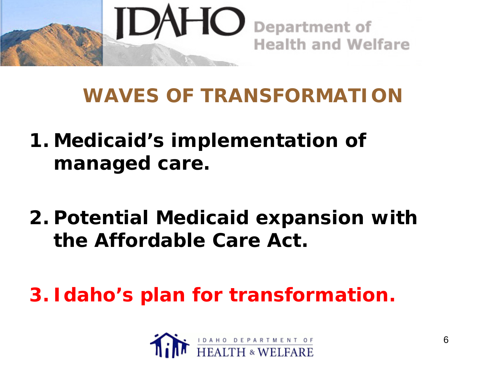

#### **WAVES OF TRANSFORMATION**

- **1. Medicaid's implementation of managed care.**
- **2. Potential Medicaid expansion with the Affordable Care Act.**

**3. Idaho's plan for transformation.**

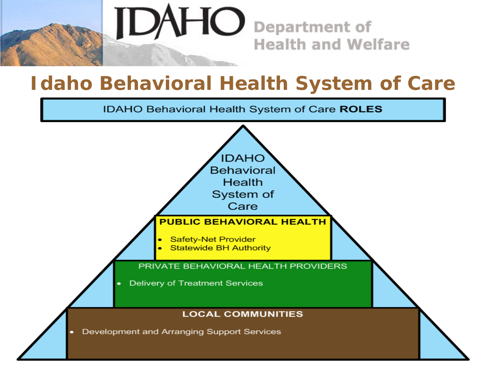

#### **Idaho Behavioral Health System of Care**